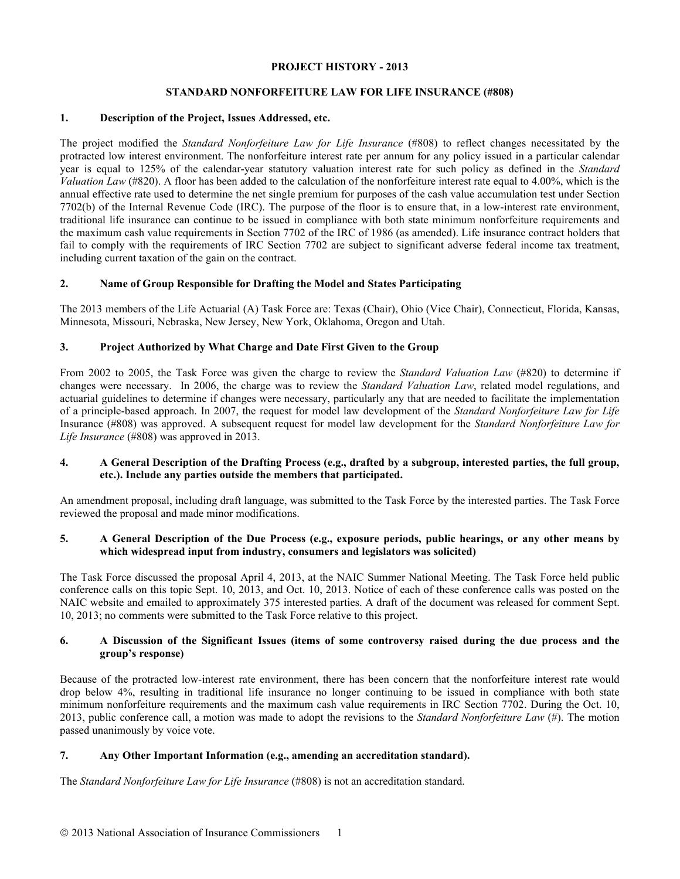#### **PROJECT HISTORY - 2013**

# **STANDARD NONFORFEITURE LAW FOR LIFE INSURANCE (#808)**

# **1. Description of the Project, Issues Addressed, etc.**

The project modified the *Standard Nonforfeiture Law for Life Insurance* (#808) to reflect changes necessitated by the protracted low interest environment. The nonforfeiture interest rate per annum for any policy issued in a particular calendar year is equal to 125% of the calendar-year statutory valuation interest rate for such policy as defined in the *Standard Valuation Law* (#820). A floor has been added to the calculation of the nonforfeiture interest rate equal to 4.00%, which is the annual effective rate used to determine the net single premium for purposes of the cash value accumulation test under Section 7702(b) of the Internal Revenue Code (IRC). The purpose of the floor is to ensure that, in a low-interest rate environment, traditional life insurance can continue to be issued in compliance with both state minimum nonforfeiture requirements and the maximum cash value requirements in Section 7702 of the IRC of 1986 (as amended). Life insurance contract holders that fail to comply with the requirements of IRC Section 7702 are subject to significant adverse federal income tax treatment, including current taxation of the gain on the contract.

# **2. Name of Group Responsible for Drafting the Model and States Participating**

The 2013 members of the Life Actuarial (A) Task Force are: Texas (Chair), Ohio (Vice Chair), Connecticut, Florida, Kansas, Minnesota, Missouri, Nebraska, New Jersey, New York, Oklahoma, Oregon and Utah.

# **3. Project Authorized by What Charge and Date First Given to the Group**

From 2002 to 2005, the Task Force was given the charge to review the *Standard Valuation Law* (#820) to determine if changes were necessary. In 2006, the charge was to review the *Standard Valuation Law*, related model regulations, and actuarial guidelines to determine if changes were necessary, particularly any that are needed to facilitate the implementation of a principle-based approach. In 2007, the request for model law development of the *Standard Nonforfeiture Law for Life*  Insurance (#808) was approved. A subsequent request for model law development for the *Standard Nonforfeiture Law for Life Insurance* (#808) was approved in 2013.

#### **4. A General Description of the Drafting Process (e.g., drafted by a subgroup, interested parties, the full group, etc.). Include any parties outside the members that participated.**

An amendment proposal, including draft language, was submitted to the Task Force by the interested parties. The Task Force reviewed the proposal and made minor modifications.

# **5. A General Description of the Due Process (e.g., exposure periods, public hearings, or any other means by which widespread input from industry, consumers and legislators was solicited)**

The Task Force discussed the proposal April 4, 2013, at the NAIC Summer National Meeting. The Task Force held public conference calls on this topic Sept. 10, 2013, and Oct. 10, 2013. Notice of each of these conference calls was posted on the NAIC website and emailed to approximately 375 interested parties. A draft of the document was released for comment Sept. 10, 2013; no comments were submitted to the Task Force relative to this project.

# **6. A Discussion of the Significant Issues (items of some controversy raised during the due process and the group's response)**

Because of the protracted low-interest rate environment, there has been concern that the nonforfeiture interest rate would drop below 4%, resulting in traditional life insurance no longer continuing to be issued in compliance with both state minimum nonforfeiture requirements and the maximum cash value requirements in IRC Section 7702. During the Oct. 10, 2013, public conference call, a motion was made to adopt the revisions to the *Standard Nonforfeiture Law* (#). The motion passed unanimously by voice vote.

# **7. Any Other Important Information (e.g., amending an accreditation standard).**

The *Standard Nonforfeiture Law for Life Insurance* (#808) is not an accreditation standard.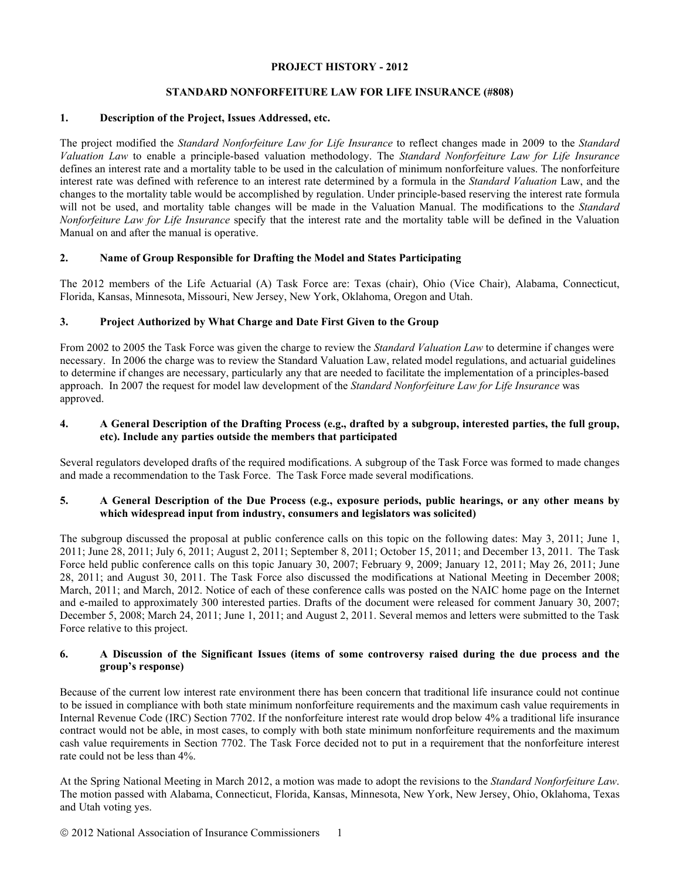#### **PROJECT HISTORY - 2012**

# **STANDARD NONFORFEITURE LAW FOR LIFE INSURANCE (#808)**

# **1. Description of the Project, Issues Addressed, etc.**

The project modified the *Standard Nonforfeiture Law for Life Insurance* to reflect changes made in 2009 to the *Standard Valuation Law* to enable a principle-based valuation methodology. The *Standard Nonforfeiture Law for Life Insurance*  defines an interest rate and a mortality table to be used in the calculation of minimum nonforfeiture values. The nonforfeiture interest rate was defined with reference to an interest rate determined by a formula in the *Standard Valuation* Law, and the changes to the mortality table would be accomplished by regulation. Under principle-based reserving the interest rate formula will not be used, and mortality table changes will be made in the Valuation Manual. The modifications to the *Standard Nonforfeiture Law for Life Insurance* specify that the interest rate and the mortality table will be defined in the Valuation Manual on and after the manual is operative.

# **2. Name of Group Responsible for Drafting the Model and States Participating**

The 2012 members of the Life Actuarial (A) Task Force are: Texas (chair), Ohio (Vice Chair), Alabama, Connecticut, Florida, Kansas, Minnesota, Missouri, New Jersey, New York, Oklahoma, Oregon and Utah.

# **3. Project Authorized by What Charge and Date First Given to the Group**

From 2002 to 2005 the Task Force was given the charge to review the *Standard Valuation Law* to determine if changes were necessary. In 2006 the charge was to review the Standard Valuation Law, related model regulations, and actuarial guidelines to determine if changes are necessary, particularly any that are needed to facilitate the implementation of a principles-based approach. In 2007 the request for model law development of the *Standard Nonforfeiture Law for Life Insurance* was approved.

# **4. A General Description of the Drafting Process (e.g., drafted by a subgroup, interested parties, the full group, etc). Include any parties outside the members that participated**

Several regulators developed drafts of the required modifications. A subgroup of the Task Force was formed to made changes and made a recommendation to the Task Force. The Task Force made several modifications.

# **5. A General Description of the Due Process (e.g., exposure periods, public hearings, or any other means by which widespread input from industry, consumers and legislators was solicited)**

The subgroup discussed the proposal at public conference calls on this topic on the following dates: May 3, 2011; June 1, 2011; June 28, 2011; July 6, 2011; August 2, 2011; September 8, 2011; October 15, 2011; and December 13, 2011. The Task Force held public conference calls on this topic January 30, 2007; February 9, 2009; January 12, 2011; May 26, 2011; June 28, 2011; and August 30, 2011. The Task Force also discussed the modifications at National Meeting in December 2008; March, 2011; and March, 2012. Notice of each of these conference calls was posted on the NAIC home page on the Internet and e-mailed to approximately 300 interested parties. Drafts of the document were released for comment January 30, 2007; December 5, 2008; March 24, 2011; June 1, 2011; and August 2, 2011. Several memos and letters were submitted to the Task Force relative to this project.

# **6. A Discussion of the Significant Issues (items of some controversy raised during the due process and the group's response)**

Because of the current low interest rate environment there has been concern that traditional life insurance could not continue to be issued in compliance with both state minimum nonforfeiture requirements and the maximum cash value requirements in Internal Revenue Code (IRC) Section 7702. If the nonforfeiture interest rate would drop below 4% a traditional life insurance contract would not be able, in most cases, to comply with both state minimum nonforfeiture requirements and the maximum cash value requirements in Section 7702. The Task Force decided not to put in a requirement that the nonforfeiture interest rate could not be less than 4%.

At the Spring National Meeting in March 2012, a motion was made to adopt the revisions to the *Standard Nonforfeiture Law*. The motion passed with Alabama, Connecticut, Florida, Kansas, Minnesota, New York, New Jersey, Ohio, Oklahoma, Texas and Utah voting yes.